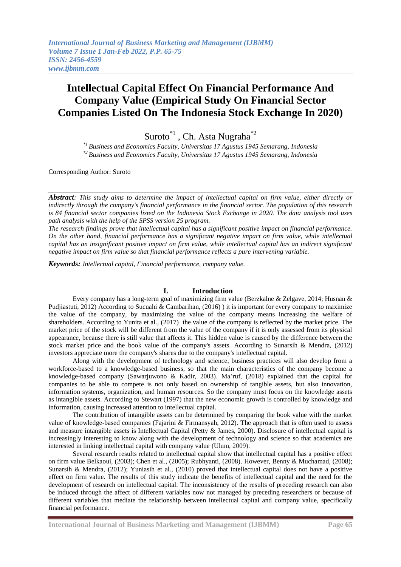# **Intellectual Capital Effect On Financial Performance And Company Value (Empirical Study On Financial Sector Companies Listed On The Indonesia Stock Exchange In 2020)**

Suroto<sup>\*1</sup>, Ch. Asta Nugraha<sup>\*2</sup>

*\*1 Business and Economics Faculty, Universitas 17 Agustus 1945 Semarang, Indonesia \*2 Business and Economics Faculty, Universitas 17 Agustus 1945 Semarang, Indonesia*

Corresponding Author: Suroto

*Abstract: This study aims to determine the impact of intellectual capital on firm value, either directly or indirectly through the company's financial performance in the financial sector. The population of this research is 84 financial sector companies listed on the Indonesia Stock Exchange in 2020. The data analysis tool uses path analysis with the help of the SPSS version 25 program.*

*The research findings prove that intellectual capital has a significant positive impact on financial performance. On the other hand, financial performance has a significant negative impact on firm value, while intellectual capital has an insignificant positive impact on firm value, while intellectual capital has an indirect significant negative impact on firm value so that financial performance reflects a pure intervening variable.*

*Keywords: Intellectual capital, Financial performance, company value.*

## **I. Introduction**

Every company has a long-term goal of maximizing firm value (Berzkalne & Zelgave, 2014; Husnan & Pudjiastuti, 2012) According to Sucuahi & Cambarihan, (2016) ) it is important for every company to maximize the value of the company, by maximizing the value of the company means increasing the welfare of shareholders. According to Yunita et al., (2017) the value of the company is reflected by the market price. The market price of the stock will be different from the value of the company if it is only assessed from its physical appearance, because there is still value that affects it. This hidden value is caused by the difference between the stock market price and the book value of the company's assets. According to Sunarsih & Mendra, (2012) investors appreciate more the company's shares due to the company's intellectual capital.

Along with the development of technology and science, business practices will also develop from a workforce-based to a knowledge-based business, so that the main characteristics of the company become a knowledge-based company (Sawarjuwono & Kadir, 2003). Ma'ruf, (2018) explained that the capital for companies to be able to compete is not only based on ownership of tangible assets, but also innovation, information systems, organization, and human resources. So the company must focus on the knowledge assets as intangible assets. According to Stewart (1997) that the new economic growth is controlled by knowledge and information, causing increased attention to intellectual capital.

The contribution of intangible assets can be determined by comparing the book value with the market value of knowledge-based companies (Fajarini & Firmansyah, 2012). The approach that is often used to assess and measure intangible assets is Intellectual Capital (Petty & James, 2000). Disclosure of intellectual capital is increasingly interesting to know along with the development of technology and science so that academics are interested in linking intellectual capital with company value (Ulum, 2009).

Several research results related to intellectual capital show that intellectual capital has a positive effect on firm value Belkaoui, (2003); Chen et al., (2005); Rubhyanti, (2008). However, Benny & Muchamad, (2008); Sunarsih & Mendra, (2012); Yuniasih et al., (2010) proved that intellectual capital does not have a positive effect on firm value. The results of this study indicate the benefits of intellectual capital and the need for the development of research on intellectual capital. The inconsistency of the results of preceding research can also be induced through the affect of different variables now not managed by preceding researchers or because of different variables that mediate the relationship between intellectual capital and company value, specifically financial performance.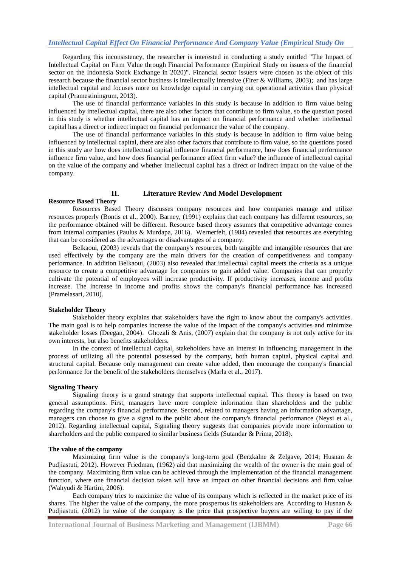Regarding this inconsistency, the researcher is interested in conducting a study entitled "The Impact of Intellectual Capital on Firm Value through Financial Performance (Empirical Study on issuers of the financial sector on the Indonesia Stock Exchange in 2020)". Financial sector issuers were chosen as the object of this research because the financial sector business is intellectually intensive (Firer & Williams, 2003); and has large intellectual capital and focuses more on knowledge capital in carrying out operational activities than physical capital (Pramestiningrum, 2013).

The use of financial performance variables in this study is because in addition to firm value being influenced by intellectual capital, there are also other factors that contribute to firm value, so the question posed in this study is whether intellectual capital has an impact on financial performance and whether intellectual capital has a direct or indirect impact on financial performance the value of the company.

The use of financial performance variables in this study is because in addition to firm value being influenced by intellectual capital, there are also other factors that contribute to firm value, so the questions posed in this study are how does intellectual capital influence financial performance, how does financial performance influence firm value, and how does financial performance affect firm value? the influence of intellectual capital on the value of the company and whether intellectual capital has a direct or indirect impact on the value of the company.

#### **II. Literature Review And Model Development**

## **Resource Based Theory**

Resources Based Theory discusses company resources and how companies manage and utilize resources properly (Bontis et al., 2000). Barney, (1991) explains that each company has different resources, so the performance obtained will be different. Resource based theory assumes that competitive advantage comes from internal companies (Paulus & Murdapa, 2016). Wernerfelt, (1984) revealed that resources are everything that can be considered as the advantages or disadvantages of a company.

Belkaoui, (2003) reveals that the company's resources, both tangible and intangible resources that are used effectively by the company are the main drivers for the creation of competitiveness and company performance. In addition Belkaoui, (2003) also revealed that intellectual capital meets the criteria as a unique resource to create a competitive advantage for companies to gain added value. Companies that can properly cultivate the potential of employees will increase productivity. If productivity increases, income and profits increase. The increase in income and profits shows the company's financial performance has increased (Pramelasari, 2010).

#### **Stakeholder Theory**

Stakeholder theory explains that stakeholders have the right to know about the company's activities. The main goal is to help companies increase the value of the impact of the company's activities and minimize stakeholder losses (Deegan, 2004). Ghozali & Anis, (2007) explain that the company is not only active for its own interests, but also benefits stakeholders.

In the context of intellectual capital, stakeholders have an interest in influencing management in the process of utilizing all the potential possessed by the company, both human capital, physical capital and structural capital. Because only management can create value added, then encourage the company's financial performance for the benefit of the stakeholders themselves (Marla et al., 2017).

## **Signaling Theory**

Signaling theory is a grand strategy that supports intellectual capital. This theory is based on two general assumptions. First, managers have more complete information than shareholders and the public regarding the company's financial performance. Second, related to managers having an information advantage, managers can choose to give a signal to the public about the company's financial performance (Neysi et al., 2012). Regarding intellectual capital, Signaling theory suggests that companies provide more information to shareholders and the public compared to similar business fields (Sutandar & Prima, 2018).

#### **The value of the company**

Maximizing firm value is the company's long-term goal (Berzkalne & Zelgave, 2014; Husnan & Pudjiastuti, 2012). However Friedman, (1962) aid that maximizing the wealth of the owner is the main goal of the company. Maximizing firm value can be achieved through the implementation of the financial management function, where one financial decision taken will have an impact on other financial decisions and firm value (Wahyudi & Hartini, 2006).

Each company tries to maximize the value of its company which is reflected in the market price of its shares. The higher the value of the company, the more prosperous its stakeholders are. According to Husnan & Pudjiastuti, (2012) he value of the company is the price that prospective buyers are willing to pay if the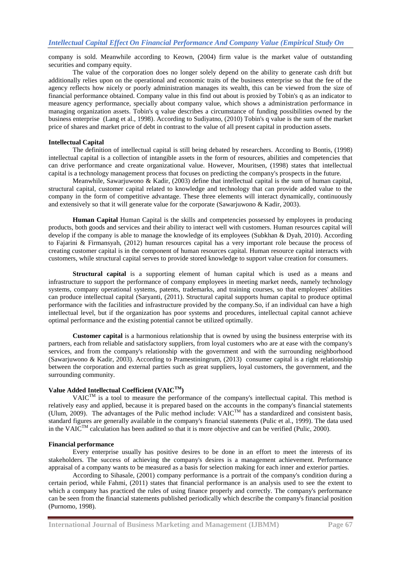company is sold. Meanwhile according to Keown, (2004) firm value is the market value of outstanding securities and company equity.

The value of the corporation does no longer solely depend on the ability to generate cash drift but additionally relies upon on the operational and economic traits of the business enterprise so that the fee of the agency reflects how nicely or poorly administration manages its wealth, this can be viewed from the size of financial performance obtained. Company value in this find out about is proxied by Tobin's q as an indicator to measure agency performance, specially about company value, which shows a administration performance in managing organization assets. Tobin's q value describes a circumstance of funding possibilities owned by the business enterprise (Lang et al., 1998). According to Sudiyatno, (2010) Tobin's q value is the sum of the market price of shares and market price of debt in contrast to the value of all present capital in production assets.

#### **Intellectual Capital**

The definition of intellectual capital is still being debated by researchers. According to Bontis, (1998) intellectual capital is a collection of intangible assets in the form of resources, abilities and competencies that can drive performance and create organizational value. However, Mouritsen, (1998) states that intellectual capital is a technology management process that focuses on predicting the company's prospects in the future.

Meanwhile, Sawarjuwono & Kadir, (2003) define that intellectual capital is the sum of human capital, structural capital, customer capital related to knowledge and technology that can provide added value to the company in the form of competitive advantage. These three elements will interact dynamically, continuously and extensively so that it will generate value for the corporate (Sawarjuwono & Kadir, 2003).

**Human Capital** Human Capital is the skills and competencies possessed by employees in producing products, both goods and services and their ability to interact well with customers. Human resources capital will develop if the company is able to manage the knowledge of its employees (Subkhan & Dyah, 2010). According to Fajarini & Firmansyah, (2012) human resources capital has a very important role because the process of creating customer capital is in the component of human resources capital. Human resource capital interacts with customers, while structural capital serves to provide stored knowledge to support value creation for consumers.

**Structural capital** is a supporting element of human capital which is used as a means and infrastructure to support the performance of company employees in meeting market needs, namely technology systems, company operational systems, patents, trademarks, and training courses, so that employees' abilities can produce intellectual capital (Saryanti, (2011). Structural capital supports human capital to produce optimal performance with the facilities and infrastructure provided by the company.So, if an individual can have a high intellectual level, but if the organization has poor systems and procedures, intellectual capital cannot achieve optimal performance and the existing potential cannot be utilized optimally.

**Customer capital** is a harmonious relationship that is owned by using the business enterprise with its partners, each from reliable and satisfactory suppliers, from loyal customers who are at ease with the company's services, and from the company's relationship with the government and with the surrounding neighborhood (Sawarjuwono & Kadir, 2003). According to Pramestiningrum, (2013) consumer capital is a right relationship between the corporation and external parties such as great suppliers, loyal customers, the government, and the surrounding community.

## **Value Added Intellectual Coefficient (VAICTM)**

VAIC<sup>TM</sup> is a tool to measure the performance of the company's intellectual capital. This method is relatively easy and applied, because it is prepared based on the accounts in the company's financial statements (Ulum, 2009). The advantages of the Pulic method include:  $VAIC^{TM}$  has a standardized and consistent basis, standard figures are generally available in the company's financial statements (Pulic et al., 1999). The data used in the VAIC<sup>TM</sup> calculation has been audited so that it is more objective and can be verified (Pulic, 2000).

#### **Financial performance**

Every enterprise usually has positive desires to be done in an effort to meet the interests of its stakeholders. The success of achieving the company's desires is a management achievement. Performance appraisal of a company wants to be measured as a basis for selection making for each inner and exterior parties.

According to Sihasale, (2001) company performance is a portrait of the company's condition during a certain period, while Fahmi, (2011) states that financial performance is an analysis used to see the extent to which a company has practiced the rules of using finance properly and correctly. The company's performance can be seen from the financial statements published periodically which describe the company's financial position (Purnomo, 1998).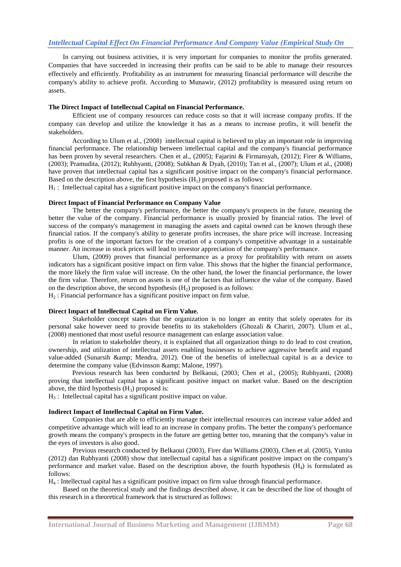In carrying out business activities, it is very important for companies to monitor the profits generated. Companies that have succeeded in increasing their profits can be said to be able to manage their resources effectively and efficiently. Profitability as an instrument for measuring financial performance will describe the company's ability to achieve profit. According to Munawir, (2012) profitability is measured using return on assets.

## **The Direct Impact of Intellectual Capital on Financial Performance.**

Efficient use of company resources can reduce costs so that it will increase company profits. If the company can develop and utilize the knowledge it has as a means to increase profits, it will benefit the stakeholders.

According to Ulum et al., (2008) intellectual capital is believed to play an important role in improving financial performance. The relationship between intellectual capital and the company's financial performance has been proven by several researchers. Chen et al., (2005); Fajarini & Firmansyah, (2012); Firer & Williams, (2003); Pramudita, (2012); Rubhyanti, (2008); Subkhan & Dyah, (2010); Tan et al., (2007); Ulum et al., (2008) have proven that intellectual capital has a significant positive impact on the company's financial performance. Based on the description above, the first hypothesis  $(H_1)$  proposed is as follows:

 $H<sub>1</sub>$ : Intellectual capital has a significant positive impact on the company's financial performance.

## **Direct Impact of Financial Performance on Company Value**

The better the company's performance, the better the company's prospects in the future, meaning the better the value of the company. Financial performance is usually proxied by financial ratios. The level of success of the company's management in managing the assets and capital owned can be known through these financial ratios. If the company's ability to generate profits increases, the share price will increase. Increasing profits is one of the important factors for the creation of a company's competitive advantage in a sustainable manner. An increase in stock prices will lead to investor appreciation of the company's performance.

Ulum, (2009) proves that financial performance as a proxy for profitability with return on assets indicators has a significant positive impact on firm value. This shows that the higher the financial performance, the more likely the firm value will increase. On the other hand, the lower the financial performance, the lower the firm value. Therefore, return on assets is one of the factors that influence the value of the company. Based on the description above, the second hypothesis  $(H_2)$  proposed is as follows:

 $H<sub>2</sub>$ : Financial performance has a significant positive impact on firm value.

## **Direct Impact of Intellectual Capital on Firm Value.**

Stakeholder concept states that the organization is no longer an entity that solely operates for its personal sake however need to provide benefits to its stakeholders (Ghozali & Chariri, 2007). Ulum et al., (2008) mentioned that most useful resource management can enlarge association value.

In relation to stakeholder theory, it is explained that all organization things to do lead to cost creation, ownership, and utilization of intellectual assets enabling businesses to achieve aggressive benefit and expand value-added (Sunarsih & amp; Mendra, 2012). One of the benefits of intellectual capital is as a device to determine the company value (Edvinsson & amp; Malone, 1997).

Previous research has been conducted by Belkaoui, (2003; Chen et al., (2005); Rubhyanti, (2008) proving that intellectual capital has a significant positive impact on market value. Based on the description above, the third hypothesis  $(H_3)$  proposed is:

 $H<sub>3</sub>$ : Intellectual capital has a significant positive impact on value.

## **Indirect Impact of Intellectual Capital on Firm Value.**

Companies that are able to efficiently manage their intellectual resources can increase value added and competitive advantage which will lead to an increase in company profits. The better the company's performance growth means the company's prospects in the future are getting better too, meaning that the company's value in the eyes of investors is also good.

Previous research conducted by Belkaoui (2003), Firer dan Williams (2003), Chen et al. (2005), Yunita (2012) dan Rubhyanti (2008) show that intellectual capital has a significant positive impact on the company's performance and market value. Based on the description above, the fourth hypothesis  $(H_4)$  is formulated as follows:

H<sup>4</sup> : Intellectual capital has a significant positive impact on firm value through financial performance.

Based on the theoretical study and the findings described above, it can be described the line of thought of this research in a theoretical framework that is structured as follows: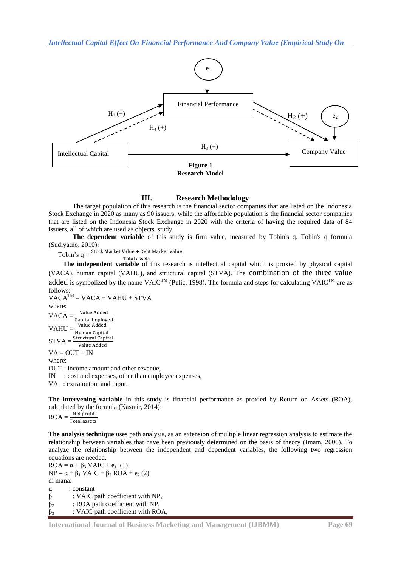

## **III. Research Methodology**

The target population of this research is the financial sector companies that are listed on the Indonesia Stock Exchange in 2020 as many as 90 issuers, while the affordable population is the financial sector companies that are listed on the Indonesia Stock Exchange in 2020 with the criteria of having the required data of 84 issuers, all of which are used as objects. study.

**The dependent variable** of this study is firm value, measured by Tobin's q. Tobin's q formula (Sudiyatno, 2010):

 $Tobin's q = \frac{s'lock\text{ Market Value} + \text{Debt Market Value}}{s}$ Total assets

**The independent variable** of this research is intellectual capital which is proxied by physical capital (VACA), human capital (VAHU), and structural capital (STVA). The combination of the three value added is symbolized by the name VAIC<sup>TM</sup> (Pulic, 1998). The formula and steps for calculating VAIC<sup>TM</sup> are as follows:

 $VACA^{TM} = VACA + VAHU + STVA$ where: Value Added  $VACA =$ Capital Imployed upital imploy<br>Value Added  $VAHU =$ Human Capital<br>Structural Capital  $STVA =$ Value Added  $VA = OUT - IN$ where: OUT : income amount and other revenue, IN : cost and expenses, other than employee expenses,

VA : extra output and input.

**The intervening variable** in this study is financial performance as proxied by Return on Assets (ROA), calculated by the formula (Kasmir, 2014):<br> $PQA$  Net profit

 $ROA = \frac{1}{T}$ 

**The analysis technique** uses path analysis, as an extension of multiple linear regression analysis to estimate the relationship between variables that have been previously determined on the basis of theory (Imam, 2006). To analyze the relationship between the independent and dependent variables, the following two regression equations are needed.

 $ROA = \alpha + \beta_3$  VAIC + e<sub>1</sub> (1)  $NP = \alpha + \beta_1$  VAIC +  $\beta_2$  ROA +  $e_2$  (2) di mana: α : constant  $\beta_1$  : VAIC path coefficient with NP,  $\beta_2$  : ROA path coefficient with NP,  $\beta_3$  : VAIC path coefficient with ROA,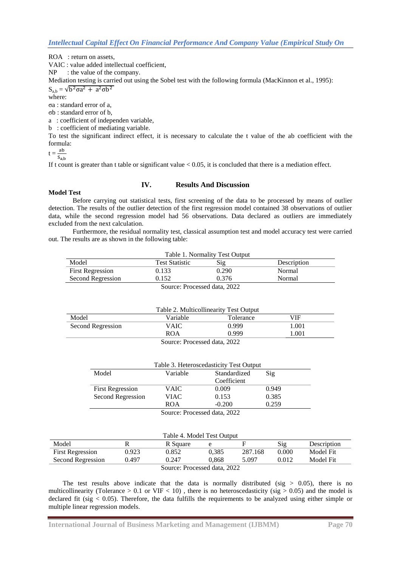ROA : return on assets.

VAIC : value added intellectual coefficient,

NP : the value of the company.

Mediation testing is carried out using the Sobel test with the following formula (MacKinnon et al., 1995):

 $S_{a,b} = \sqrt{b^2 \sigma a^2 + a^2 \sigma b^2}$ 

where:

σa : standard error of a,

σb : standard error of b,

a : coefficient of independen variable,

b : coefficient of mediating variable.

To test the significant indirect effect, it is necessary to calculate the t value of the ab coefficient with the formula:

 $t = \frac{a}{c}$ S

If t count is greater than t table or significant value  $< 0.05$ , it is concluded that there is a mediation effect.

# **IV. Results And Discussion**

#### **Model Test**

Before carrying out statistical tests, first screening of the data to be processed by means of outlier detection. The results of the outlier detection of the first regression model contained 38 observations of outlier data, while the second regression model had 56 observations. Data declared as outliers are immediately excluded from the next calculation.

Furthermore, the residual normality test, classical assumption test and model accuracy test were carried out. The results are as shown in the following table:

| Table 1. Normality Test Output                       |       |       |        |  |  |  |
|------------------------------------------------------|-------|-------|--------|--|--|--|
| Sig<br>Model<br><b>Test Statistic</b><br>Description |       |       |        |  |  |  |
| <b>First Regression</b>                              | 0.133 | 0.290 | Normal |  |  |  |
| Second Regression                                    | 0.152 | 0.376 | Normal |  |  |  |
| Source: Processed data, 2022                         |       |       |        |  |  |  |

| Table 2. Multicollinearity Test Output |                 |                  |            |  |  |  |
|----------------------------------------|-----------------|------------------|------------|--|--|--|
| Model                                  | <b>Variable</b> | <b>Tolerance</b> | <b>VIF</b> |  |  |  |
| Second Regression                      | VAIC-           | 0.999            | 1.001      |  |  |  |
|                                        | <b>ROA</b>      | 0.999            | .001       |  |  |  |
| Source: Processed data 2022            |                 |                  |            |  |  |  |

| Table 3. Heteroscedasticity Test Output |              |              |       |  |  |
|-----------------------------------------|--------------|--------------|-------|--|--|
| Model                                   | Variable     | Standardized | Sig   |  |  |
|                                         |              | Coefficient  |       |  |  |
| <b>First Regression</b>                 | VAIC         | 0.009        | 0.949 |  |  |
| Second Regression                       | VIAC         | 0.153        | 0.385 |  |  |
|                                         | <b>ROA</b>   | $-0.200$     | 0.259 |  |  |
|                                         | $\sim$<br>T. | 1.1.0000     |       |  |  |

Source: Processed data, 2022

| Table 4. Model Test Output   |       |          |       |         |       |             |
|------------------------------|-------|----------|-------|---------|-------|-------------|
| Model                        |       | R Square | e     |         | Sig   | Description |
| <b>First Regression</b>      | 0.923 | 0.852    | 0.385 | 287.168 | 0.000 | Model Fit   |
| Second Regression            | 0.497 | 0.247    | 0.868 | 5.097   | 0.012 | Model Fit   |
| Source: Processed data, 2022 |       |          |       |         |       |             |

The test results above indicate that the data is normally distributed (sig  $> 0.05$ ), there is no multicollinearity (Tolerance  $> 0.1$  or VIF  $< 10$ ), there is no heteroscedasticity (sig  $> 0.05$ ) and the model is declared fit (sig < 0.05). Therefore, the data fulfills the requirements to be analyzed using either simple or multiple linear regression models.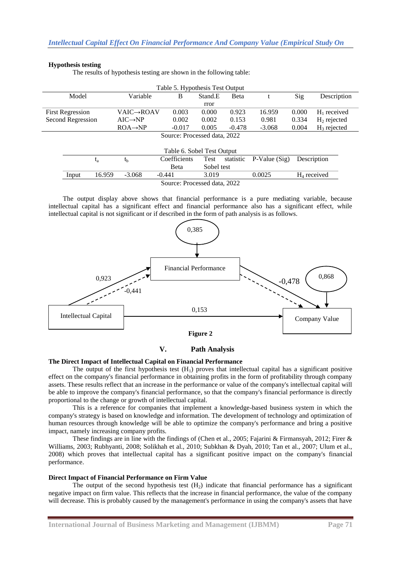## **Hypothesis testing**

The results of hypothesis testing are shown in the following table:

| Table 5. Hypothesis Test Output |        |                      |              |         |           |                |       |                |
|---------------------------------|--------|----------------------|--------------|---------|-----------|----------------|-------|----------------|
| Model                           |        | Variable             | B            | Stand.E | Beta      |                | Sig   | Description    |
| rror                            |        |                      |              |         |           |                |       |                |
| <b>First Regression</b>         |        | VAIC→ROAV            | 0.003        | 0.000   | 0.923     | 16.959         | 0.000 | $H_1$ received |
| Second Regression               |        | $AIC \rightarrow NP$ | 0.002        | 0.002   | 0.153     | 0.981          | 0.334 | $H_2$ rejected |
|                                 |        | $ROA \rightarrow NP$ | $-0.017$     | 0.005   | $-0.478$  | $-3.068$       | 0.004 | $H_3$ rejected |
| Source: Processed data, 2022    |        |                      |              |         |           |                |       |                |
|                                 |        |                      |              |         |           |                |       |                |
| Table 6. Sobel Test Output      |        |                      |              |         |           |                |       |                |
|                                 | $t_a$  | $t_{\rm b}$          | Coefficients | Test    | statistic | $P-Value(Sig)$ |       | Description    |
| Sobel test<br>Beta              |        |                      |              |         |           |                |       |                |
| Input                           | 16.959 | $-3.068$             | $-0.441$     | 3.019   |           | 0.0025         |       | $H_4$ received |
| Source: Processed data 2022     |        |                      |              |         |           |                |       |                |

Source: Processed data, 202 The output display above shows that financial performance is a pure mediating variable, because intellectual capital has a significant effect and financial performance also has a significant effect, while



**V. Path Analysis**

## **The Direct Impact of Intellectual Capital on Financial Performance**

The output of the first hypothesis test  $(H_1)$  proves that intellectual capital has a significant positive effect on the company's financial performance in obtaining profits in the form of profitability through company assets. These results reflect that an increase in the performance or value of the company's intellectual capital will be able to improve the company's financial performance, so that the company's financial performance is directly proportional to the change or growth of intellectual capital.

This is a reference for companies that implement a knowledge-based business system in which the company's strategy is based on knowledge and information. The development of technology and optimization of human resources through knowledge will be able to optimize the company's performance and bring a positive impact, namely increasing company profits.

These findings are in line with the findings of (Chen et al., 2005; Fajarini & Firmansyah, 2012; Firer & Williams, 2003; Rubhyanti, 2008; Solikhah et al., 2010; Subkhan & Dyah, 2010; Tan et al., 2007; Ulum et al., 2008) which proves that intellectual capital has a significant positive impact on the company's financial performance.

## **Direct Impact of Financial Performance on Firm Value**

The output of the second hypothesis test  $(H<sub>2</sub>)$  indicate that financial performance has a significant negative impact on firm value. This reflects that the increase in financial performance, the value of the company will decrease. This is probably caused by the management's performance in using the company's assets that have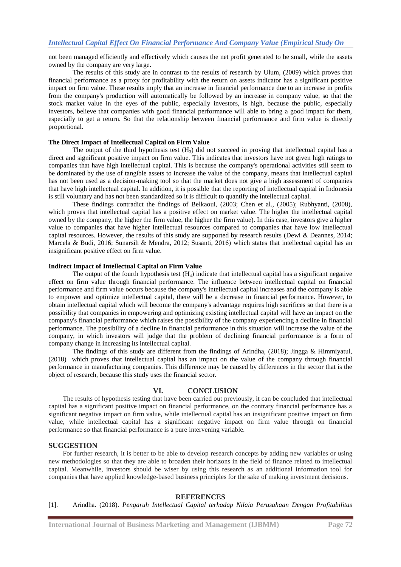not been managed efficiently and effectively which causes the net profit generated to be small, while the assets owned by the company are very large**.**

The results of this study are in contrast to the results of research by Ulum, (2009) which proves that financial performance as a proxy for profitability with the return on assets indicator has a significant positive impact on firm value. These results imply that an increase in financial performance due to an increase in profits from the company's production will automatically be followed by an increase in company value, so that the stock market value in the eyes of the public, especially investors, is high, because the public, especially investors, believe that companies with good financial performance will able to bring a good impact for them, especially to get a return. So that the relationship between financial performance and firm value is directly proportional.

#### **The Direct Impact of Intellectual Capital on Firm Value**

The output of the third hypothesis test  $(H_3)$  did not succeed in proving that intellectual capital has a direct and significant positive impact on firm value. This indicates that investors have not given high ratings to companies that have high intellectual capital. This is because the company's operational activities still seem to be dominated by the use of tangible assets to increase the value of the company, means that intellectual capital has not been used as a decision-making tool so that the market does not give a high assessment of companies that have high intellectual capital. In addition, it is possible that the reporting of intellectual capital in Indonesia is still voluntary and has not been standardized so it is difficult to quantify the intellectual capital.

These findings contradict the findings of Belkaoui, (2003; Chen et al., (2005); Rubhyanti, (2008), which proves that intellectual capital has a positive effect on market value. The higher the intellectual capital owned by the company, the higher the firm value, the higher the firm value). In this case, investors give a higher value to companies that have higher intellectual resources compared to companies that have low intellectual capital resources. However, the results of this study are supported by research results (Dewi & Deannes, 2014; Marcela & Budi, 2016; Sunarsih & Mendra, 2012; Susanti, 2016) which states that intellectual capital has an insignificant positive effect on firm value.

#### **Indirect Impact of Intellectual Capital on Firm Value**

The output of the fourth hypothesis test  $(H_4)$  indicate that intellectual capital has a significant negative effect on firm value through financial performance. The influence between intellectual capital on financial performance and firm value occurs because the company's intellectual capital increases and the company is able to empower and optimize intellectual capital, there will be a decrease in financial performance. However, to obtain intellectual capital which will become the company's advantage requires high sacrifices so that there is a possibility that companies in empowering and optimizing existing intellectual capital will have an impact on the company's financial performance which raises the possibility of the company experiencing a decline in financial performance. The possibility of a decline in financial performance in this situation will increase the value of the company, in which investors will judge that the problem of declining financial performance is a form of company change in increasing its intellectual capital.

The findings of this study are different from the findings of Arindha, (2018); Jingga & Himmiyatul, (2018) which proves that intellectual capital has an impact on the value of the company through financial performance in manufacturing companies. This difference may be caused by differences in the sector that is the object of research, because this study uses the financial sector.

## **VI. CONCLUSION**

The results of hypothesis testing that have been carried out previously, it can be concluded that intellectual capital has a significant positive impact on financial performance, on the contrary financial performance has a significant negative impact on firm value, while intellectual capital has an insignificant positive impact on firm value, while intellectual capital has a significant negative impact on firm value through on financial performance so that financial performance is a pure intervening variable.

## **SUGGESTION**

For further research, it is better to be able to develop research concepts by adding new variables or using new methodologies so that they are able to broaden their horizons in the field of finance related to intellectual capital. Meanwhile, investors should be wiser by using this research as an additional information tool for companies that have applied knowledge-based business principles for the sake of making investment decisions.

## **REFERENCES**

[1]. Arindha. (2018). *Pengaruh Intellectual Capital terhadap Nilaia Perusahaan Dengan Profitabilitas*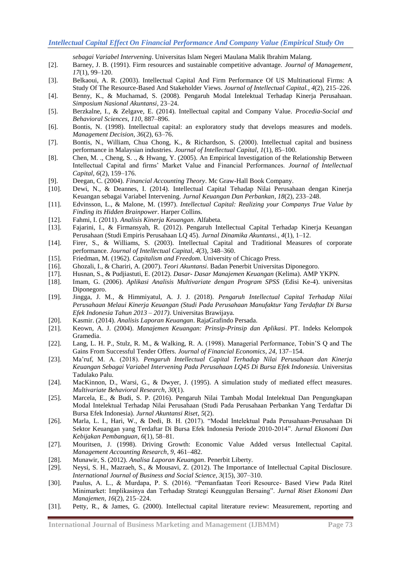*sebagai Variabel Intervening*. Universitas Islam Negeri Maulana Malik Ibrahim Malang.

- [2]. Barney, J. B. (1991). Firm resources and sustainable competitive advantage. *Journal of Management*, *17*(1), 99–120.
- [3]. Belkaoui, A. R. (2003). Intellectual Capital And Firm Performance Of US Multinational Firms: A Study Of The Resource-Based And Stakeholder Views. *Journal of Intellectual Capital.*, *4*(2), 215–226.
- [4]. Benny, K., & Muchamad, S. (2008). Pengaruh Modal Intelektual Terhadap Kinerja Perusahaan. *Simposium Nasional Akuntansi*, 23–24.
- [5]. Berzkalne, I., & Zelgave, E. (2014). Intellectual capital and Company Value. *Procedia-Social and Behavioral Sciences*, *110*, 887–896.
- [6]. Bontis, N. (1998). Intellectual capital: an exploratory study that develops measures and models. *Management Decision*, *36*(2), 63–76.
- [7]. Bontis, N., William, Chua Chong, K., & Richardson, S. (2000). Intellectual capital and business performance in Malaysian industries. *Journal of Intellectual Capital*, *1*(1), 85–100.
- [8]. Chen, M. ., Cheng, S. ., & Hwang, Y. (2005). An Empirical Investigation of the Relationship Between Intellectual Capital and firms' Market Value and Financial Performances. *Journal of Intellectual Capital*, *6*(2), 159–176.
- [9]. Deegan, C. (2004). *Financial Accounting Theory*. Mc Graw-Hall Book Company.
- [10]. Dewi, N., & Deannes, I. (2014). Intellectual Capital Tehadap Nilai Perusahaan dengan Kinerja Keuangan sebagai Variabel Intervening. *Jurnal Keuangan Dan Perbankan*, *18*(2), 233–248.
- [11]. Edvinsson, L., & Malone, M. (1997). *Intellectual Capital: Realizing your Companys True Value by Finding its Hidden Brainpower*. Harper Collins.
- [12]. Fahmi, I. (2011). *Analisis Kinerja Keuangan*. Alfabeta.
- [13]. Fajarini, I., & Firmansyah, R. (2012). Pengaruh Intellectual Capital Terhadap Kinerja Keuangan Perusahaan (Studi Empiris Perusahaan LQ 45). *Jurnal Dinamika Akuntansi.*, *4*(1), 1–12.
- [14]. Firer, S., & Williams, S. (2003). Intellectual Capital and Traditional Measures of corporate performance. *Journal of Intellectual Capital*, *4*(3), 348–360.
- [15]. Friedman, M. (1962). *Capitalism and Freedom*. University of Chicago Press.
- [16]. Ghozali, I., & Chariri, A. (2007). *Teori Akuntansi*. Badan Penerbit Universitas Diponegoro.
- [17]. Husnan, S., & Pudjiastuti, E. (2012). *Dasar- Dasar Manajemen Keuangan* (Kelima). AMP YKPN.
- [18]. Imam, G. (2006). *Aplikasi Analisis Multivariate dengan Program SPSS* (Edisi Ke-4). universitas Diponegoro.
- [19]. Jingga, J. M., & Himmiyatul, A. J. J. (2018). *Pengaruh Intellectual Capital Terhadap Nilai Perusahaan Melaui Kinerja Keuangan (Studi Pada Perusahaan Manufaktur Yang Terdaftar Di Bursa Efek Indonesia Tahun 2013 – 2017)*. Universitas Brawijaya.
- [20]. Kasmir. (2014). *Analisis Laporan Keuangan*. RajaGrafindo Persada.
- [21]. Keown, A. J. (2004). *Manajemen Keuangan: Prinsip-Prinsip dan Aplikasi*. PT. Indeks Kelompok Gramedia.
- [22]. Lang, L. H. P., Stulz, R. M., & Walking, R. A. (1998). Managerial Performance, Tobin'S Q and The Gains From Successful Tender Offers. *Journal of Financial Economics*, *24*, 137–154.
- [23]. Ma'ruf, M. A. (2018). *Pengaruh Intellectual Capital Terhadap Nilai Perusahaan dan Kinerja Keuangan Sebagai Variabel Intervening Pada Perusahaan LQ45 Di Bursa Efek Indonesia.* Universitas Tadulako Palu.
- [24]. MacKinnon, D., Warsi, G., & Dwyer, J. (1995). A simulation study of mediated effect measures. *Multivariate Behavioral Research*, *30*(1).
- [25]. Marcela, E., & Budi, S. P. (2016). Pengaruh Nilai Tambah Modal Intelektual Dan Pengungkapan Modal Intelektual Terhadap Nilai Perusahaan (Studi Pada Perusahaan Perbankan Yang Terdaftar Di Bursa Efek Indonesia). *Jurnal Akuntansi Riset*, *5*(2).
- [26]. Marla, L. I., Hari, W., & Dedi, B. H. (2017). "Modal Intelektual Pada Perusahaan-Perusahaan Di Sektor Keuangan yang Terdaftar Di Bursa Efek Indonesia Periode 2010-2014". *Jurnal Ekonomi Dan Kebijakan Pembanguan*, *6*(1), 58–81.
- [27]. Mouritsen, J. (1998). Driving Growth: Economic Value Added versus Intellectual Capital. *Management Accounting Research*, *9*, 461–482.
- [28]. Munawir, S. (2012). *Analisa Laporan Keuangan*. Penerbit Liberty.
- [29]. Neysi, S. H., Mazraeh, S., & Mousavi, Z. (2012). The Importance of Intellectual Capital Disclosure. *International Journal of Business and Social Science*, *3*(15), 307–310.
- [30]. Paulus, A. L., & Murdapa, P. S. (2016). "Pemanfaatan Teori Resource- Based View Pada Ritel Minimarket: Implikasinya dan Terhadap Strategi Keunggulan Bersaing". *Jurnal Riset Ekonomi Dan Manajemen*, *16*(2), 215–224.
- [31]. Petty, R., & James, G. (2000). Intellectual capital literature review: Measurement, reporting and